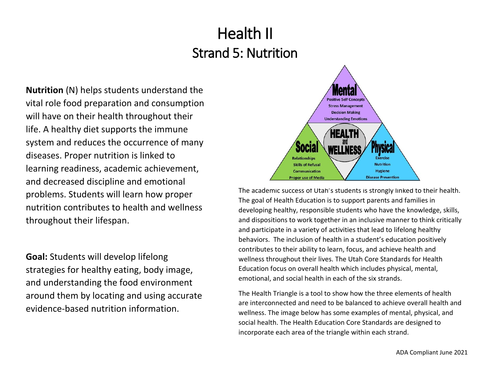**Nutrition** (N) helps students understand the vital role food preparation and consumption will have on their health throughout their life. A healthy diet supports the immune system and reduces the occurrence of many diseases. Proper nutrition is linked to learning readiness, academic achievement, and decreased discipline and emotional problems. Students will learn how proper nutrition contributes to health and wellness throughout their lifespan.

**Goal:** Students will develop lifelong strategies for healthy eating, body image, and understanding the food environment around them by locating and using accurate evidence-based nutrition information.



The academic success of Utah's students is strongly linked to their health. The goal of Health Education is to support parents and families in developing healthy, responsible students who have the knowledge, skills, and dispositions to work together in an inclusive manner to think critically and participate in a variety of activities that lead to lifelong healthy behaviors. The inclusion of health in a student's education positively contributes to their ability to learn, focus, and achieve health and wellness throughout their lives. The Utah Core Standards for Health Education focus on overall health which includes physical, mental, emotional, and social health in each of the six strands.

The Health Triangle is a tool to show how the three elements of health are interconnected and need to be balanced to achieve overall health and wellness. The image below has some examples of mental, physical, and social health. The Health Education Core Standards are designed to incorporate each area of the triangle within each strand.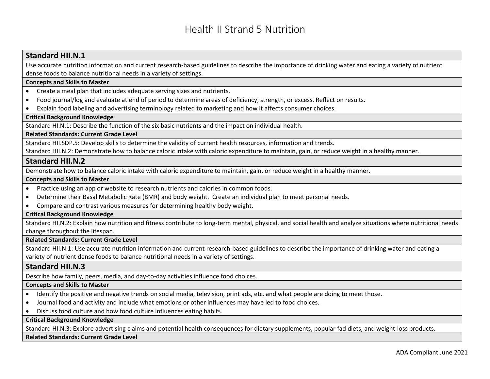### **Standard HII.N.1**

Use accurate nutrition information and current research-based guidelines to describe the importance of drinking water and eating a variety of nutrient dense foods to balance nutritional needs in a variety of settings.

#### **Concepts and Skills to Master**

- Create a meal plan that includes adequate serving sizes and nutrients.
- Food journal/log and evaluate at end of period to determine areas of deficiency, strength, or excess. Reflect on results.
- Explain food labeling and advertising terminology related to marketing and how it affects consumer choices.

#### **Critical Background Knowledge**

Standard HI.N.1: Describe the function of the six basic nutrients and the impact on individual health.

#### **Related Standards: Current Grade Level**

Standard HII.SDP.5: Develop skills to determine the validity of current health resources, information and trends.

Standard HII.N.2: Demonstrate how to balance caloric intake with caloric expenditure to maintain, gain, or reduce weight in a healthy manner.

#### **Standard HII.N.2**

Demonstrate how to balance caloric intake with caloric expenditure to maintain, gain, or reduce weight in a healthy manner.

#### **Concepts and Skills to Master**

- Practice using an app or website to research nutrients and calories in common foods.
- Determine their Basal Metabolic Rate (BMR) and body weight. Create an individual plan to meet personal needs.
- Compare and contrast various measures for determining healthy body weight.

#### **Critical Background Knowledge**

Standard HI.N.2: Explain how nutrition and fitness contribute to long-term mental, physical, and social health and analyze situations where nutritional needs change throughout the lifespan.

#### **Related Standards: Current Grade Level**

Standard HII.N.1: Use accurate nutrition information and current research-based guidelines to describe the importance of drinking water and eating a variety of nutrient dense foods to balance nutritional needs in a variety of settings.

# **Standard HII.N.3**

Describe how family, peers, media, and day-to-day activities influence food choices.

#### **Concepts and Skills to Master**

- Identify the positive and negative trends on social media, television, print ads, etc. and what people are doing to meet those.
- Journal food and activity and include what emotions or other influences may have led to food choices.
- Discuss food culture and how food culture influences eating habits.

#### **Critical Background Knowledge**

Standard HI.N.3: Explore advertising claims and potential health consequences for dietary supplements, popular fad diets, and weight-loss products.

#### **Related Standards: Current Grade Level**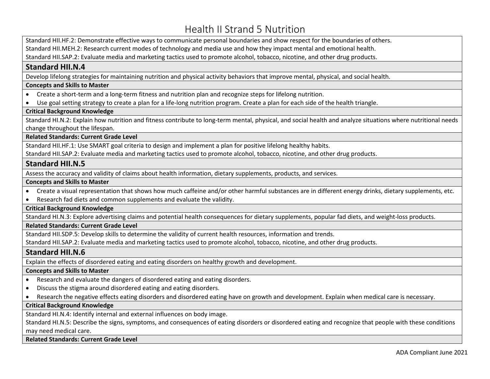Standard HII.HF.2: Demonstrate effective ways to communicate personal boundaries and show respect for the boundaries of others.

Standard HII.MEH.2: Research current modes of technology and media use and how they impact mental and emotional health.

Standard HII.SAP.2: Evaluate media and marketing tactics used to promote alcohol, tobacco, nicotine, and other drug products.

# **Standard HII.N.4**

Develop lifelong strategies for maintaining nutrition and physical activity behaviors that improve mental, physical, and social health.

#### **Concepts and Skills to Master**

- Create a short-term and a long-term fitness and nutrition plan and recognize steps for lifelong nutrition.
- Use goal setting strategy to create a plan for a life-long nutrition program. Create a plan for each side of the health triangle.

### **Critical Background Knowledge**

Standard HI.N.2: Explain how nutrition and fitness contribute to long-term mental, physical, and social health and analyze situations where nutritional needs change throughout the lifespan.

#### **Related Standards: Current Grade Level**

Standard HII.HF.1: Use SMART goal criteria to design and implement a plan for positive lifelong healthy habits.

Standard HII.SAP.2: Evaluate media and marketing tactics used to promote alcohol, tobacco, nicotine, and other drug products.

# **Standard HII.N.5**

Assess the accuracy and validity of claims about health information, dietary supplements, products, and services.

#### **Concepts and Skills to Master**

- Create a visual representation that shows how much caffeine and/or other harmful substances are in different energy drinks, dietary supplements, etc.
- Research fad diets and common supplements and evaluate the validity.

# **Critical Background Knowledge**

Standard HI.N.3: Explore advertising claims and potential health consequences for dietary supplements, popular fad diets, and weight-loss products.

#### **Related Standards: Current Grade Level**

Standard HII.SDP.5: Develop skills to determine the validity of current health resources, information and trends.

Standard HII.SAP.2: Evaluate media and marketing tactics used to promote alcohol, tobacco, nicotine, and other drug products.

# **Standard HII.N.6**

Explain the effects of disordered eating and eating disorders on healthy growth and development.

#### **Concepts and Skills to Master**

- Research and evaluate the dangers of disordered eating and eating disorders.
- Discuss the stigma around disordered eating and eating disorders.
- Research the negative effects eating disorders and disordered eating have on growth and development. Explain when medical care is necessary.

### **Critical Background Knowledge**

Standard HI.N.4: Identify internal and external influences on body image.

Standard HI.N.5: Describe the signs, symptoms, and consequences of eating disorders or disordered eating and recognize that people with these conditions may need medical care.

#### **Related Standards: Current Grade Level**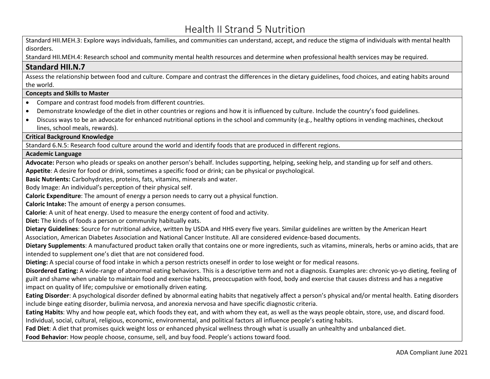Standard HII.MEH.3: Explore ways individuals, families, and communities can understand, accept, and reduce the stigma of individuals with mental health disorders.

Standard HII.MEH.4: Research school and community mental health resources and determine when professional health services may be required.

# **Standard HII.N.7**

Assess the relationship between food and culture. Compare and contrast the differences in the dietary guidelines, food choices, and eating habits around the world.

#### **Concepts and Skills to Master**

- Compare and contrast food models from different countries.
- Demonstrate knowledge of the diet in other countries or regions and how it is influenced by culture. Include the country's food guidelines.
- Discuss ways to be an advocate for enhanced nutritional options in the school and community (e.g., healthy options in vending machines, checkout lines, school meals, rewards).

### **Critical Background Knowledge**

Standard 6.N.5: Research food culture around the world and identify foods that are produced in different regions.

#### **Academic Language**

**Advocate:** Person who pleads or speaks on another person's behalf. Includes supporting, helping, seeking help, and standing up for self and others.

**Appetite**: A desire for food or drink, sometimes a specific food or drink; can be physical or psychological.

**Basic Nutrients:** Carbohydrates, proteins, fats, vitamins, minerals and water.

Body Image: An individual's perception of their physical self.

**Caloric Expenditure**: The amount of energy a person needs to carry out a physical function.

**Caloric Intake:** The amount of energy a person consumes.

**Calorie**: A unit of heat energy. Used to measure the energy content of food and activity.

**Diet:** The kinds of foods a person or community habitually eats.

**Dietary Guidelines**: Source for nutritional advice, written by USDA and HHS every five years. Similar guidelines are written by the American Heart Association, American Diabetes Association and National Cancer Institute. All are considered evidence-based documents.

**Dietary Supplements**: A manufactured product taken orally that contains one or more ingredients, such as vitamins, minerals, herbs or amino acids, that are intended to supplement one's diet that are not considered food.

**Dieting:** A special course of food intake in which a person restricts oneself in order to lose weight or for medical reasons.

**Disordered Eating:** A wide-range of abnormal eating behaviors. This is a descriptive term and not a diagnosis. Examples are: chronic yo-yo dieting, feeling of guilt and shame when unable to maintain food and exercise habits, preoccupation with food, body and exercise that causes distress and has a negative impact on quality of life; compulsive or emotionally driven eating.

**Eating Disorder**: A psychological disorder defined by abnormal eating habits that negatively affect a person's physical and/or mental health. Eating disorders include binge eating disorder, bulimia nervosa, and anorexia nervosa and have specific diagnostic criteria.

**Eating Habits**: Why and how people eat, which foods they eat, and with whom they eat, as well as the ways people obtain, store, use, and discard food. Individual, social, cultural, religious, economic, environmental, and political factors all influence people's eating habits.

**Fad Diet**: A diet that promises quick weight loss or enhanced physical wellness through what is usually an unhealthy and unbalanced diet.

**Food Behavior**: How people choose, consume, sell, and buy food. People's actions toward food.